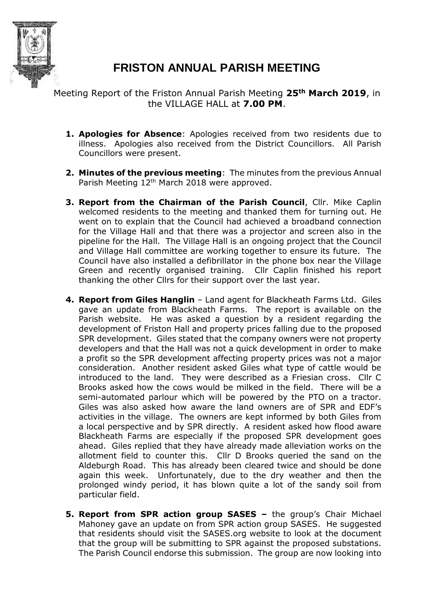

## **FRISTON ANNUAL PARISH MEETING**

Meeting Report of the Friston Annual Parish Meeting **25th March 2019**, in the VILLAGE HALL at **7.00 PM**.

- **1. Apologies for Absence**: Apologies received from two residents due to illness. Apologies also received from the District Councillors. All Parish Councillors were present.
- **2. Minutes of the previous meeting**: The minutes from the previous Annual Parish Meeting 12<sup>th</sup> March 2018 were approved.
- **3. Report from the Chairman of the Parish Council**, Cllr. Mike Caplin welcomed residents to the meeting and thanked them for turning out. He went on to explain that the Council had achieved a broadband connection for the Village Hall and that there was a projector and screen also in the pipeline for the Hall. The Village Hall is an ongoing project that the Council and Village Hall committee are working together to ensure its future. The Council have also installed a defibrillator in the phone box near the Village Green and recently organised training. Cllr Caplin finished his report thanking the other Cllrs for their support over the last year.
- **4. Report from Giles Hanglin** Land agent for Blackheath Farms Ltd. Giles gave an update from Blackheath Farms. The report is available on the Parish website. He was asked a question by a resident regarding the development of Friston Hall and property prices falling due to the proposed SPR development. Giles stated that the company owners were not property developers and that the Hall was not a quick development in order to make a profit so the SPR development affecting property prices was not a major consideration. Another resident asked Giles what type of cattle would be introduced to the land. They were described as a Friesian cross. Cllr C Brooks asked how the cows would be milked in the field. There will be a semi-automated parlour which will be powered by the PTO on a tractor. Giles was also asked how aware the land owners are of SPR and EDF's activities in the village. The owners are kept informed by both Giles from a local perspective and by SPR directly. A resident asked how flood aware Blackheath Farms are especially if the proposed SPR development goes ahead. Giles replied that they have already made alleviation works on the allotment field to counter this. Cllr D Brooks queried the sand on the Aldeburgh Road. This has already been cleared twice and should be done again this week. Unfortunately, due to the dry weather and then the prolonged windy period, it has blown quite a lot of the sandy soil from particular field.
- **5. Report from SPR action group SASES –** the group's Chair Michael Mahoney gave an update on from SPR action group SASES. He suggested that residents should visit the SASES.org website to look at the document that the group will be submitting to SPR against the proposed substations. The Parish Council endorse this submission. The group are now looking into